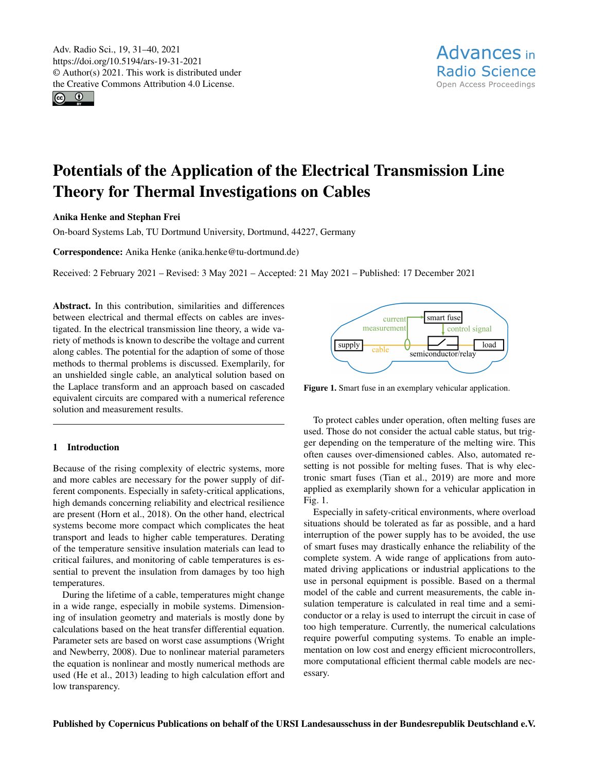Adv. Radio Sci., 19, 31–40, 2021 https://doi.org/10.5194/ars-19-31-2021 © Author(s) 2021. This work is distributed under the Creative Commons Attribution 4.0 License.

 $\boxed{6}$ 

# Potentials of the Application of the Electrical Transmission Line Theory for Thermal Investigations on Cables

## Anika Henke and Stephan Frei

On-board Systems Lab, TU Dortmund University, Dortmund, 44227, Germany

Correspondence: Anika Henke (anika.henke@tu-dortmund.de)

Received: 2 February 2021 – Revised: 3 May 2021 – Accepted: 21 May 2021 – Published: 17 December 2021

Abstract. In this contribution, similarities and differences between electrical and thermal effects on cables are investigated. In the electrical transmission line theory, a wide variety of methods is known to describe the voltage and current along cables. The potential for the adaption of some of those methods to thermal problems is discussed. Exemplarily, for an unshielded single cable, an analytical solution based on the Laplace transform and an approach based on cascaded equivalent circuits are compared with a numerical reference solution and measurement results.

## 1 Introduction

Because of the rising complexity of electric systems, more and more cables are necessary for the power supply of different components. Especially in safety-critical applications, high demands concerning reliability and electrical resilience are present (Horn et al., 2018). On the other hand, electrical systems become more compact which complicates the heat transport and leads to higher cable temperatures. Derating of the temperature sensitive insulation materials can lead to critical failures, and monitoring of cable temperatures is essential to prevent the insulation from damages by too high temperatures.

During the lifetime of a cable, temperatures might change in a wide range, especially in mobile systems. Dimensioning of insulation geometry and materials is mostly done by calculations based on the heat transfer differential equation. Parameter sets are based on worst case assumptions (Wright and Newberry, 2008). Due to nonlinear material parameters the equation is nonlinear and mostly numerical methods are used (He et al., 2013) leading to high calculation effort and low transparency.



Figure 1. Smart fuse in an exemplary vehicular application.

To protect cables under operation, often melting fuses are used. Those do not consider the actual cable status, but trigger depending on the temperature of the melting wire. This often causes over-dimensioned cables. Also, automated resetting is not possible for melting fuses. That is why electronic smart fuses (Tian et al., 2019) are more and more applied as exemplarily shown for a vehicular application in Fig. 1.

Especially in safety-critical environments, where overload situations should be tolerated as far as possible, and a hard interruption of the power supply has to be avoided, the use of smart fuses may drastically enhance the reliability of the complete system. A wide range of applications from automated driving applications or industrial applications to the use in personal equipment is possible. Based on a thermal model of the cable and current measurements, the cable insulation temperature is calculated in real time and a semiconductor or a relay is used to interrupt the circuit in case of too high temperature. Currently, the numerical calculations require powerful computing systems. To enable an implementation on low cost and energy efficient microcontrollers, more computational efficient thermal cable models are necessary.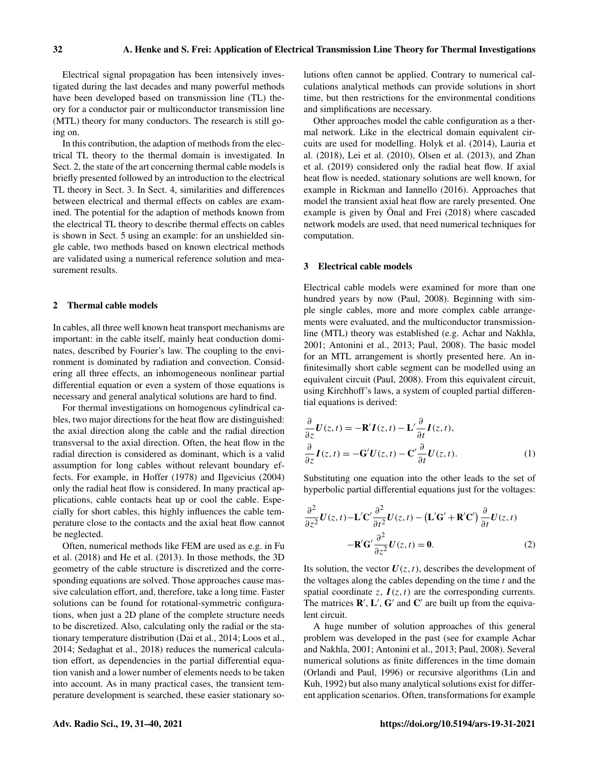Electrical signal propagation has been intensively investigated during the last decades and many powerful methods have been developed based on transmission line (TL) theory for a conductor pair or multiconductor transmission line (MTL) theory for many conductors. The research is still going on.

In this contribution, the adaption of methods from the electrical TL theory to the thermal domain is investigated. In Sect. 2, the state of the art concerning thermal cable models is briefly presented followed by an introduction to the electrical TL theory in Sect. 3. In Sect. 4, similarities and differences between electrical and thermal effects on cables are examined. The potential for the adaption of methods known from the electrical TL theory to describe thermal effects on cables is shown in Sect. 5 using an example: for an unshielded single cable, two methods based on known electrical methods are validated using a numerical reference solution and measurement results.

#### 2 Thermal cable models

In cables, all three well known heat transport mechanisms are important: in the cable itself, mainly heat conduction dominates, described by Fourier's law. The coupling to the environment is dominated by radiation and convection. Considering all three effects, an inhomogeneous nonlinear partial differential equation or even a system of those equations is necessary and general analytical solutions are hard to find.

For thermal investigations on homogenous cylindrical cables, two major directions for the heat flow are distinguished: the axial direction along the cable and the radial direction transversal to the axial direction. Often, the heat flow in the radial direction is considered as dominant, which is a valid assumption for long cables without relevant boundary effects. For example, in Hoffer (1978) and Ilgevicius (2004) only the radial heat flow is considered. In many practical applications, cable contacts heat up or cool the cable. Especially for short cables, this highly influences the cable temperature close to the contacts and the axial heat flow cannot be neglected.

Often, numerical methods like FEM are used as e.g. in Fu et al. (2018) and He et al. (2013). In those methods, the 3D geometry of the cable structure is discretized and the corresponding equations are solved. Those approaches cause massive calculation effort, and, therefore, take a long time. Faster solutions can be found for rotational-symmetric configurations, when just a 2D plane of the complete structure needs to be discretized. Also, calculating only the radial or the stationary temperature distribution (Dai et al., 2014; Loos et al., 2014; Sedaghat et al., 2018) reduces the numerical calculation effort, as dependencies in the partial differential equation vanish and a lower number of elements needs to be taken into account. As in many practical cases, the transient temperature development is searched, these easier stationary solutions often cannot be applied. Contrary to numerical calculations analytical methods can provide solutions in short time, but then restrictions for the environmental conditions and simplifications are necessary.

Other approaches model the cable configuration as a thermal network. Like in the electrical domain equivalent circuits are used for modelling. Holyk et al. (2014), Lauria et al. (2018), Lei et al. (2010), Olsen et al. (2013), and Zhan et al. (2019) considered only the radial heat flow. If axial heat flow is needed, stationary solutions are well known, for example in Rickman and Iannello (2016). Approaches that model the transient axial heat flow are rarely presented. One example is given by Önal and Frei (2018) where cascaded network models are used, that need numerical techniques for computation.

#### 3 Electrical cable models

Electrical cable models were examined for more than one hundred years by now (Paul, 2008). Beginning with simple single cables, more and more complex cable arrangements were evaluated, and the multiconductor transmissionline (MTL) theory was established (e.g. Achar and Nakhla, 2001; Antonini et al., 2013; Paul, 2008). The basic model for an MTL arrangement is shortly presented here. An infinitesimally short cable segment can be modelled using an equivalent circuit (Paul, 2008). From this equivalent circuit, using Kirchhoff's laws, a system of coupled partial differential equations is derived:

$$
\frac{\partial}{\partial z} \mathbf{U}(z,t) = -\mathbf{R}' \mathbf{I}(z,t) - \mathbf{L}' \frac{\partial}{\partial t} \mathbf{I}(z,t),
$$
  

$$
\frac{\partial}{\partial z} \mathbf{I}(z,t) = -\mathbf{G}' \mathbf{U}(z,t) - \mathbf{C}' \frac{\partial}{\partial t} \mathbf{U}(z,t).
$$
 (1)

Substituting one equation into the other leads to the set of hyperbolic partial differential equations just for the voltages:

$$
\frac{\partial^2}{\partial z^2} U(z,t) - \mathbf{L}' \mathbf{C}' \frac{\partial^2}{\partial t^2} U(z,t) - (\mathbf{L}' \mathbf{G}' + \mathbf{R}' \mathbf{C}') \frac{\partial}{\partial t} U(z,t) - \mathbf{R}' \mathbf{G}' \frac{\partial^2}{\partial z^2} U(z,t) = \mathbf{0}.
$$
 (2)

Its solution, the vector  $U(z, t)$ , describes the development of the voltages along the cables depending on the time  $t$  and the spatial coordinate z,  $I(z, t)$  are the corresponding currents. The matrices  $\mathbf{R}', \mathbf{L}', \mathbf{G}'$  and  $\mathbf{C}'$  are built up from the equivalent circuit.

A huge number of solution approaches of this general problem was developed in the past (see for example Achar and Nakhla, 2001; Antonini et al., 2013; Paul, 2008). Several numerical solutions as finite differences in the time domain (Orlandi and Paul, 1996) or recursive algorithms (Lin and Kuh, 1992) but also many analytical solutions exist for different application scenarios. Often, transformations for example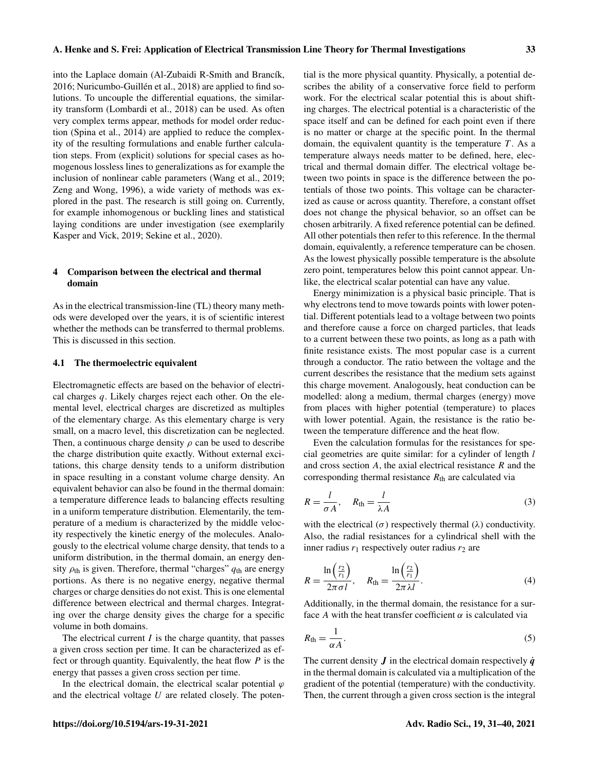into the Laplace domain (Al-Zubaidi R-Smith and Brancík, 2016; Nuricumbo-Guillén et al., 2018) are applied to find solutions. To uncouple the differential equations, the similarity transform (Lombardi et al., 2018) can be used. As often very complex terms appear, methods for model order reduction (Spina et al., 2014) are applied to reduce the complexity of the resulting formulations and enable further calculation steps. From (explicit) solutions for special cases as homogenous lossless lines to generalizations as for example the inclusion of nonlinear cable parameters (Wang et al., 2019; Zeng and Wong, 1996), a wide variety of methods was explored in the past. The research is still going on. Currently, for example inhomogenous or buckling lines and statistical laying conditions are under investigation (see exemplarily Kasper and Vick, 2019; Sekine et al., 2020).

## 4 Comparison between the electrical and thermal domain

As in the electrical transmission-line (TL) theory many methods were developed over the years, it is of scientific interest whether the methods can be transferred to thermal problems. This is discussed in this section.

#### 4.1 The thermoelectric equivalent

Electromagnetic effects are based on the behavior of electrical charges  $q$ . Likely charges reject each other. On the elemental level, electrical charges are discretized as multiples of the elementary charge. As this elementary charge is very small, on a macro level, this discretization can be neglected. Then, a continuous charge density  $\rho$  can be used to describe the charge distribution quite exactly. Without external excitations, this charge density tends to a uniform distribution in space resulting in a constant volume charge density. An equivalent behavior can also be found in the thermal domain: a temperature difference leads to balancing effects resulting in a uniform temperature distribution. Elementarily, the temperature of a medium is characterized by the middle velocity respectively the kinetic energy of the molecules. Analogously to the electrical volume charge density, that tends to a uniform distribution, in the thermal domain, an energy density  $\rho_{\text{th}}$  is given. Therefore, thermal "charges"  $q_{\text{th}}$  are energy portions. As there is no negative energy, negative thermal charges or charge densities do not exist. This is one elemental difference between electrical and thermal charges. Integrating over the charge density gives the charge for a specific volume in both domains.

The electrical current  $I$  is the charge quantity, that passes a given cross section per time. It can be characterized as effect or through quantity. Equivalently, the heat flow  $P$  is the energy that passes a given cross section per time.

In the electrical domain, the electrical scalar potential  $\varphi$ and the electrical voltage  $U$  are related closely. The potential is the more physical quantity. Physically, a potential describes the ability of a conservative force field to perform work. For the electrical scalar potential this is about shifting charges. The electrical potential is a characteristic of the space itself and can be defined for each point even if there is no matter or charge at the specific point. In the thermal domain, the equivalent quantity is the temperature  $T$ . As a temperature always needs matter to be defined, here, electrical and thermal domain differ. The electrical voltage between two points in space is the difference between the potentials of those two points. This voltage can be characterized as cause or across quantity. Therefore, a constant offset does not change the physical behavior, so an offset can be chosen arbitrarily. A fixed reference potential can be defined. All other potentials then refer to this reference. In the thermal domain, equivalently, a reference temperature can be chosen. As the lowest physically possible temperature is the absolute zero point, temperatures below this point cannot appear. Unlike, the electrical scalar potential can have any value.

Energy minimization is a physical basic principle. That is why electrons tend to move towards points with lower potential. Different potentials lead to a voltage between two points and therefore cause a force on charged particles, that leads to a current between these two points, as long as a path with finite resistance exists. The most popular case is a current through a conductor. The ratio between the voltage and the current describes the resistance that the medium sets against this charge movement. Analogously, heat conduction can be modelled: along a medium, thermal charges (energy) move from places with higher potential (temperature) to places with lower potential. Again, the resistance is the ratio between the temperature difference and the heat flow.

Even the calculation formulas for the resistances for special geometries are quite similar: for a cylinder of length l and cross section  $A$ , the axial electrical resistance  $R$  and the corresponding thermal resistance  $R<sub>th</sub>$  are calculated via

$$
R = \frac{l}{\sigma A}, \quad R_{\text{th}} = \frac{l}{\lambda A} \tag{3}
$$

with the electrical ( $\sigma$ ) respectively thermal ( $\lambda$ ) conductivity. Also, the radial resistances for a cylindrical shell with the inner radius  $r_1$  respectively outer radius  $r_2$  are

$$
R = \frac{\ln\left(\frac{r_2}{r_1}\right)}{2\pi\sigma l}, \quad R_{\text{th}} = \frac{\ln\left(\frac{r_2}{r_1}\right)}{2\pi\lambda l}.
$$
 (4)

Additionally, in the thermal domain, the resistance for a surface A with the heat transfer coefficient  $\alpha$  is calculated via

$$
R_{\rm th} = \frac{1}{\alpha A}.\tag{5}
$$

The current density  $J$  in the electrical domain respectively  $\dot{q}$ in the thermal domain is calculated via a multiplication of the gradient of the potential (temperature) with the conductivity. Then, the current through a given cross section is the integral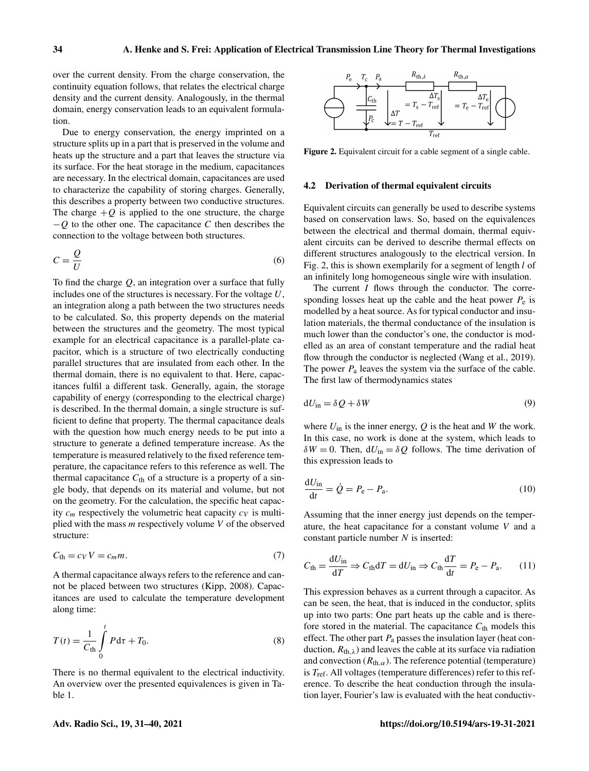over the current density. From the charge conservation, the continuity equation follows, that relates the electrical charge density and the current density. Analogously, in the thermal domain, energy conservation leads to an equivalent formulation.

Due to energy conservation, the energy imprinted on a structure splits up in a part that is preserved in the volume and heats up the structure and a part that leaves the structure via its surface. For the heat storage in the medium, capacitances are necessary. In the electrical domain, capacitances are used to characterize the capability of storing charges. Generally, this describes a property between two conductive structures. The charge  $+Q$  is applied to the one structure, the charge  $-Q$  to the other one. The capacitance C then describes the connection to the voltage between both structures.

$$
C = \frac{Q}{U} \tag{6}
$$

To find the charge  $Q$ , an integration over a surface that fully includes one of the structures is necessary. For the voltage  $U$ , an integration along a path between the two structures needs to be calculated. So, this property depends on the material between the structures and the geometry. The most typical example for an electrical capacitance is a parallel-plate capacitor, which is a structure of two electrically conducting parallel structures that are insulated from each other. In the thermal domain, there is no equivalent to that. Here, capacitances fulfil a different task. Generally, again, the storage capability of energy (corresponding to the electrical charge) is described. In the thermal domain, a single structure is sufficient to define that property. The thermal capacitance deals with the question how much energy needs to be put into a structure to generate a defined temperature increase. As the temperature is measured relatively to the fixed reference temperature, the capacitance refers to this reference as well. The thermal capacitance  $C_{th}$  of a structure is a property of a single body, that depends on its material and volume, but not on the geometry. For the calculation, the specific heat capacity  $c_m$  respectively the volumetric heat capacity  $c_V$  is multiplied with the mass  $m$  respectively volume  $V$  of the observed structure:

$$
C_{\text{th}} = c_V V = c_m m. \tag{7}
$$

A thermal capacitance always refers to the reference and cannot be placed between two structures (Kipp, 2008). Capacitances are used to calculate the temperature development along time:

$$
T(t) = \frac{1}{C_{\text{th}}} \int_{0}^{t} P d\tau + T_0.
$$
 (8)

There is no thermal equivalent to the electrical inductivity. An overview over the presented equivalences is given in Table 1.



Figure 2. Equivalent circuit for a cable segment of a single cable.

#### 4.2 Derivation of thermal equivalent circuits

Equivalent circuits can generally be used to describe systems based on conservation laws. So, based on the equivalences between the electrical and thermal domain, thermal equivalent circuits can be derived to describe thermal effects on different structures analogously to the electrical version. In Fig. 2, this is shown exemplarily for a segment of length l of an infinitely long homogeneous single wire with insulation.

The current  $I$  flows through the conductor. The corresponding losses heat up the cable and the heat power  $P_e$  is modelled by a heat source. As for typical conductor and insulation materials, the thermal conductance of the insulation is much lower than the conductor's one, the conductor is modelled as an area of constant temperature and the radial heat flow through the conductor is neglected (Wang et al., 2019). The power  $P_a$  leaves the system via the surface of the cable. The first law of thermodynamics states

$$
dU_{\rm in} = \delta Q + \delta W \tag{9}
$$

where  $U_{\text{in}}$  is the inner energy,  $Q$  is the heat and W the work. In this case, no work is done at the system, which leads to  $\delta W = 0$ . Then,  $dU_{\text{in}} = \delta Q$  follows. The time derivation of this expression leads to

$$
\frac{\mathrm{d}U_{\rm in}}{\mathrm{d}t} = \dot{Q} = P_{\rm e} - P_{\rm a}.\tag{10}
$$

Assuming that the inner energy just depends on the temperature, the heat capacitance for a constant volume V and a constant particle number N is inserted:

$$
C_{\text{th}} = \frac{\mathrm{d}U_{\text{in}}}{\mathrm{d}T} \Rightarrow C_{\text{th}} \mathrm{d}T = \mathrm{d}U_{\text{in}} \Rightarrow C_{\text{th}} \frac{\mathrm{d}T}{\mathrm{d}t} = P_{\text{e}} - P_{\text{a}}.\tag{11}
$$

This expression behaves as a current through a capacitor. As can be seen, the heat, that is induced in the conductor, splits up into two parts: One part heats up the cable and is therefore stored in the material. The capacitance  $C_{th}$  models this effect. The other part  $P_a$  passes the insulation layer (heat conduction,  $R_{th,\lambda}$ ) and leaves the cable at its surface via radiation and convection  $(R<sub>th</sub>,\alpha)$ . The reference potential (temperature) is  $T_{\text{ref}}$ . All voltages (temperature differences) refer to this reference. To describe the heat conduction through the insulation layer, Fourier's law is evaluated with the heat conductiv-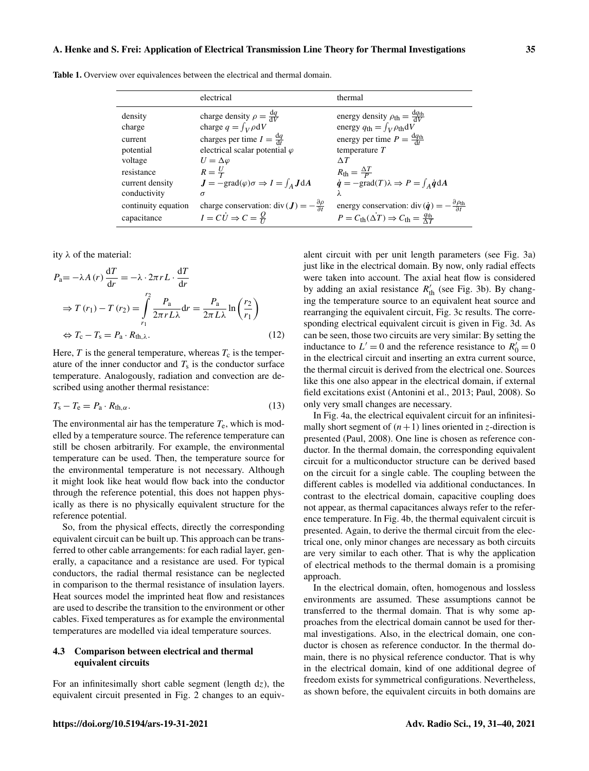|                     | electrical                                                         | thermal                                                                                           |
|---------------------|--------------------------------------------------------------------|---------------------------------------------------------------------------------------------------|
| density             | charge density $\rho = \frac{dq}{dV}$                              | energy density $\rho_{\text{th}} = \frac{dq_{\text{th}}}{dV}$                                     |
| charge              | charge $q = \int_V \rho dV$                                        | energy $q_{\text{th}} = \int_V \rho_{\text{th}} dV$                                               |
| current             | charges per time $I = \frac{dq}{dt}$                               | energy per time $P = \frac{dq_{th}}{dt}$                                                          |
| potential           | electrical scalar potential $\varphi$                              | temperature $T$                                                                                   |
| voltage             | $U = \Delta \varphi$                                               | $\wedge T$                                                                                        |
| resistance          | $R=\frac{U}{I}$                                                    | $R_{\rm th} = \frac{\Delta T}{P}$                                                                 |
| current density     | $J = -\text{grad}(\varphi)\sigma \Rightarrow I = \int_A J dA$      | $\dot{q} = -\text{grad}(T)\lambda \Rightarrow P = \int_{A} \dot{q} dA$                            |
| conductivity        | $\sigma$                                                           |                                                                                                   |
| continuity equation | charge conservation: div ( $J = -\frac{\partial \rho}{\partial t}$ | energy conservation: div $(\dot{\boldsymbol{q}}) = -\frac{\partial \rho_{\text{th}}}{\partial t}$ |
| capacitance         | $I = C\dot{U} \Rightarrow C = \frac{Q}{U}$                         | $P = C_{\text{th}}(\Delta T) \Rightarrow C_{\text{th}} = \frac{q_{\text{th}}}{\Delta T}$          |

Table 1. Overview over equivalences between the electrical and thermal domain.

ity λ of the material:

$$
P_{a} = -\lambda A(r) \frac{dT}{dr} = -\lambda \cdot 2\pi r L \cdot \frac{dT}{dr}
$$
  
\n
$$
\Rightarrow T(r_{1}) - T(r_{2}) = \int_{r_{1}}^{r_{2}} \frac{P_{a}}{2\pi r L \lambda} dr = \frac{P_{a}}{2\pi L \lambda} \ln\left(\frac{r_{2}}{r_{1}}\right)
$$
  
\n
$$
\Leftrightarrow T_{c} - T_{s} = P_{a} \cdot R_{th,\lambda}.
$$
\n(12)

Here,  $T$  is the general temperature, whereas  $T_c$  is the temperature of the inner conductor and  $T<sub>s</sub>$  is the conductor surface temperature. Analogously, radiation and convection are described using another thermal resistance:

$$
T_{\rm s} - T_{\rm e} = P_{\rm a} \cdot R_{\rm th, \alpha}.\tag{13}
$$

The environmental air has the temperature  $T_e$ , which is modelled by a temperature source. The reference temperature can still be chosen arbitrarily. For example, the environmental temperature can be used. Then, the temperature source for the environmental temperature is not necessary. Although it might look like heat would flow back into the conductor through the reference potential, this does not happen physically as there is no physically equivalent structure for the reference potential.

So, from the physical effects, directly the corresponding equivalent circuit can be built up. This approach can be transferred to other cable arrangements: for each radial layer, generally, a capacitance and a resistance are used. For typical conductors, the radial thermal resistance can be neglected in comparison to the thermal resistance of insulation layers. Heat sources model the imprinted heat flow and resistances are used to describe the transition to the environment or other cables. Fixed temperatures as for example the environmental temperatures are modelled via ideal temperature sources.

#### 4.3 Comparison between electrical and thermal equivalent circuits

For an infinitesimally short cable segment (length  $dz$ ), the equivalent circuit presented in Fig. 2 changes to an equivalent circuit with per unit length parameters (see Fig. 3a) just like in the electrical domain. By now, only radial effects were taken into account. The axial heat flow is considered by adding an axial resistance  $R'_{\text{th}}$  (see Fig. 3b). By changing the temperature source to an equivalent heat source and rearranging the equivalent circuit, Fig. 3c results. The corresponding electrical equivalent circuit is given in Fig. 3d. As can be seen, those two circuits are very similar: By setting the inductance to  $L' = 0$  and the reference resistance to  $R'_0 = 0$ in the electrical circuit and inserting an extra current source, the thermal circuit is derived from the electrical one. Sources like this one also appear in the electrical domain, if external field excitations exist (Antonini et al., 2013; Paul, 2008). So only very small changes are necessary.

In Fig. 4a, the electrical equivalent circuit for an infinitesimally short segment of  $(n+1)$  lines oriented in z-direction is presented (Paul, 2008). One line is chosen as reference conductor. In the thermal domain, the corresponding equivalent circuit for a multiconductor structure can be derived based on the circuit for a single cable. The coupling between the different cables is modelled via additional conductances. In contrast to the electrical domain, capacitive coupling does not appear, as thermal capacitances always refer to the reference temperature. In Fig. 4b, the thermal equivalent circuit is presented. Again, to derive the thermal circuit from the electrical one, only minor changes are necessary as both circuits are very similar to each other. That is why the application of electrical methods to the thermal domain is a promising approach.

In the electrical domain, often, homogenous and lossless environments are assumed. These assumptions cannot be transferred to the thermal domain. That is why some approaches from the electrical domain cannot be used for thermal investigations. Also, in the electrical domain, one conductor is chosen as reference conductor. In the thermal domain, there is no physical reference conductor. That is why in the electrical domain, kind of one additional degree of freedom exists for symmetrical configurations. Nevertheless, as shown before, the equivalent circuits in both domains are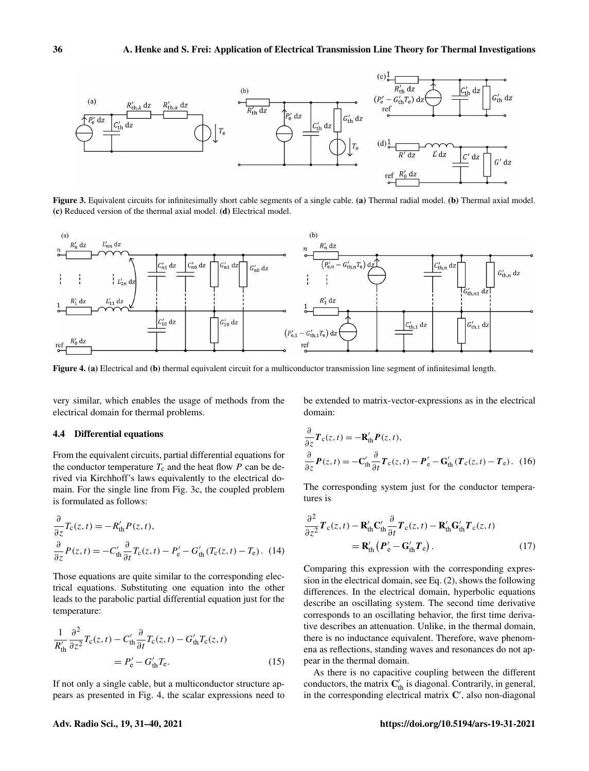

Figure 3. Equivalent circuits for infinitesimally short cable segments of a single cable. (a) Thermal radial model. (b) Thermal axial model. (c) Reduced version of the thermal axial model. (d) Electrical model.



Figure 4. (a) Electrical and (b) thermal equivalent circuit for a multiconductor transmission line segment of infinitesimal length.

very similar, which enables the usage of methods from the electrical domain for thermal problems.

#### 4.4 Differential equations

From the equivalent circuits, partial differential equations for the conductor temperature  $T_c$  and the heat flow P can be derived via Kirchhoff's laws equivalently to the electrical domain. For the single line from Fig. 3c, the coupled problem is formulated as follows:

$$
\frac{\partial}{\partial z}T_{c}(z,t) = -R'_{\text{th}}P(z,t),
$$
  

$$
\frac{\partial}{\partial z}P(z,t) = -C'_{\text{th}}\frac{\partial}{\partial t}T_{c}(z,t) - P'_{\text{e}} - G'_{\text{th}}(T_{c}(z,t) - T_{\text{e}}).
$$
 (14)

Those equations are quite similar to the corresponding electrical equations. Substituting one equation into the other leads to the parabolic partial differential equation just for the temperature:

$$
\frac{1}{R'_{\text{th}}} \frac{\partial^2}{\partial z^2} T_{\text{c}}(z, t) - C'_{\text{th}} \frac{\partial}{\partial t} T_{\text{c}}(z, t) - G'_{\text{th}} T_{\text{c}}(z, t)
$$
\n
$$
= P'_{\text{e}} - G'_{\text{th}} T_{\text{e}}.
$$
\n(15)

If not only a single cable, but a multiconductor structure appears as presented in Fig. 4, the scalar expressions need to be extended to matrix-vector-expressions as in the electrical domain:

$$
\frac{\partial}{\partial z}\boldsymbol{T}_{\mathrm{c}}(z,t) = -\mathbf{R}_{\mathrm{th}}'\boldsymbol{P}(z,t),
$$

$$
\frac{\partial}{\partial z}\boldsymbol{P}(z,t) = -\mathbf{C}_{\mathrm{th}}'\frac{\partial}{\partial t}\boldsymbol{T}_{\mathrm{c}}(z,t) - \boldsymbol{P}_{\mathrm{e}}' - \mathbf{G}_{\mathrm{th}}'(\boldsymbol{T}_{\mathrm{c}}(z,t) - \boldsymbol{T}_{\mathrm{e}}). \tag{16}
$$

The corresponding system just for the conductor temperatures is

$$
\frac{\partial^2}{\partial z^2} \boldsymbol{T}_c(z, t) - \mathbf{R}'_{\text{th}} \mathbf{C}'_{\text{th}} \frac{\partial}{\partial t} \boldsymbol{T}_c(z, t) - \mathbf{R}'_{\text{th}} \mathbf{G}'_{\text{th}} \boldsymbol{T}_c(z, t) \n= \mathbf{R}'_{\text{th}} (\boldsymbol{P}'_e - \mathbf{G}'_{\text{th}} \boldsymbol{T}_e).
$$
\n(17)

Comparing this expression with the corresponding expression in the electrical domain, see Eq. (2), shows the following differences. In the electrical domain, hyperbolic equations describe an oscillating system. The second time derivative corresponds to an oscillating behavior, the first time derivative describes an attenuation. Unlike, in the thermal domain, there is no inductance equivalent. Therefore, wave phenomena as reflections, standing waves and resonances do not appear in the thermal domain.

As there is no capacitive coupling between the different conductors, the matrix  $\mathbf{C}'_{\text{th}}$  is diagonal. Contrarily, in general, in the corresponding electrical matrix  $C'$ , also non-diagonal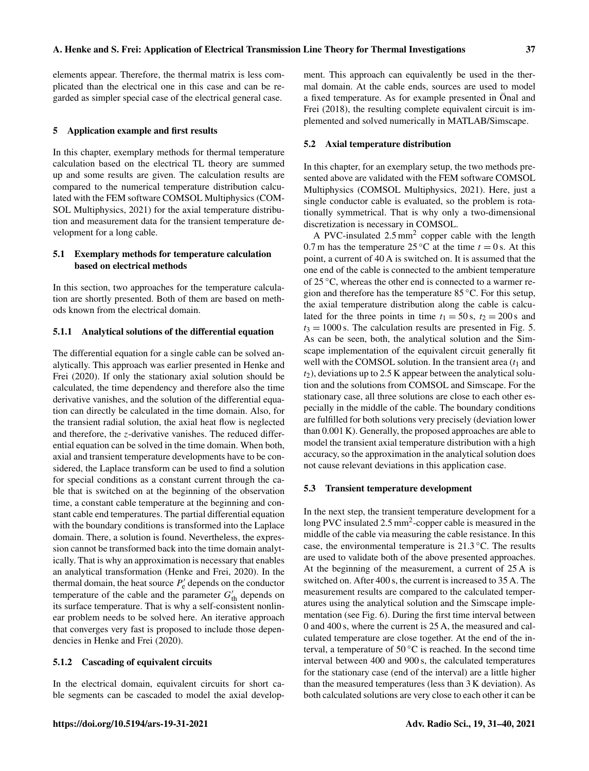elements appear. Therefore, the thermal matrix is less complicated than the electrical one in this case and can be regarded as simpler special case of the electrical general case.

#### 5 Application example and first results

In this chapter, exemplary methods for thermal temperature calculation based on the electrical TL theory are summed up and some results are given. The calculation results are compared to the numerical temperature distribution calculated with the FEM software COMSOL Multiphysics (COM-SOL Multiphysics, 2021) for the axial temperature distribution and measurement data for the transient temperature development for a long cable.

## 5.1 Exemplary methods for temperature calculation based on electrical methods

In this section, two approaches for the temperature calculation are shortly presented. Both of them are based on methods known from the electrical domain.

#### 5.1.1 Analytical solutions of the differential equation

The differential equation for a single cable can be solved analytically. This approach was earlier presented in Henke and Frei (2020). If only the stationary axial solution should be calculated, the time dependency and therefore also the time derivative vanishes, and the solution of the differential equation can directly be calculated in the time domain. Also, for the transient radial solution, the axial heat flow is neglected and therefore, the z-derivative vanishes. The reduced differential equation can be solved in the time domain. When both, axial and transient temperature developments have to be considered, the Laplace transform can be used to find a solution for special conditions as a constant current through the cable that is switched on at the beginning of the observation time, a constant cable temperature at the beginning and constant cable end temperatures. The partial differential equation with the boundary conditions is transformed into the Laplace domain. There, a solution is found. Nevertheless, the expression cannot be transformed back into the time domain analytically. That is why an approximation is necessary that enables an analytical transformation (Henke and Frei, 2020). In the thermal domain, the heat source  $P'_e$  depends on the conductor temperature of the cable and the parameter  $G'_{\text{th}}$  depends on its surface temperature. That is why a self-consistent nonlinear problem needs to be solved here. An iterative approach that converges very fast is proposed to include those dependencies in Henke and Frei (2020).

### 5.1.2 Cascading of equivalent circuits

In the electrical domain, equivalent circuits for short cable segments can be cascaded to model the axial development. This approach can equivalently be used in the thermal domain. At the cable ends, sources are used to model a fixed temperature. As for example presented in Önal and Frei (2018), the resulting complete equivalent circuit is implemented and solved numerically in MATLAB/Simscape.

#### 5.2 Axial temperature distribution

In this chapter, for an exemplary setup, the two methods presented above are validated with the FEM software COMSOL Multiphysics (COMSOL Multiphysics, 2021). Here, just a single conductor cable is evaluated, so the problem is rotationally symmetrical. That is why only a two-dimensional discretization is necessary in COMSOL.

A PVC-insulated  $2.5 \text{ mm}^2$  copper cable with the length 0.7 m has the temperature 25 °C at the time  $t = 0$  s. At this point, a current of 40 A is switched on. It is assumed that the one end of the cable is connected to the ambient temperature of 25 ◦C, whereas the other end is connected to a warmer region and therefore has the temperature 85 ◦C. For this setup, the axial temperature distribution along the cable is calculated for the three points in time  $t_1 = 50$  s,  $t_2 = 200$  s and  $t_3 = 1000$  s. The calculation results are presented in Fig. 5. As can be seen, both, the analytical solution and the Simscape implementation of the equivalent circuit generally fit well with the COMSOL solution. In the transient area  $(t_1)$  and  $t_2$ ), deviations up to 2.5 K appear between the analytical solution and the solutions from COMSOL and Simscape. For the stationary case, all three solutions are close to each other especially in the middle of the cable. The boundary conditions are fulfilled for both solutions very precisely (deviation lower than 0.001 K). Generally, the proposed approaches are able to model the transient axial temperature distribution with a high accuracy, so the approximation in the analytical solution does not cause relevant deviations in this application case.

#### 5.3 Transient temperature development

In the next step, the transient temperature development for a long PVC insulated 2.5 mm<sup>2</sup>-copper cable is measured in the middle of the cable via measuring the cable resistance. In this case, the environmental temperature is  $21.3 \degree C$ . The results are used to validate both of the above presented approaches. At the beginning of the measurement, a current of 25 A is switched on. After 400 s, the current is increased to 35 A. The measurement results are compared to the calculated temperatures using the analytical solution and the Simscape implementation (see Fig. 6). During the first time interval between 0 and 400 s, where the current is 25 A, the measured and calculated temperature are close together. At the end of the interval, a temperature of  $50^{\circ}$ C is reached. In the second time interval between 400 and 900 s, the calculated temperatures for the stationary case (end of the interval) are a little higher than the measured temperatures (less than 3 K deviation). As both calculated solutions are very close to each other it can be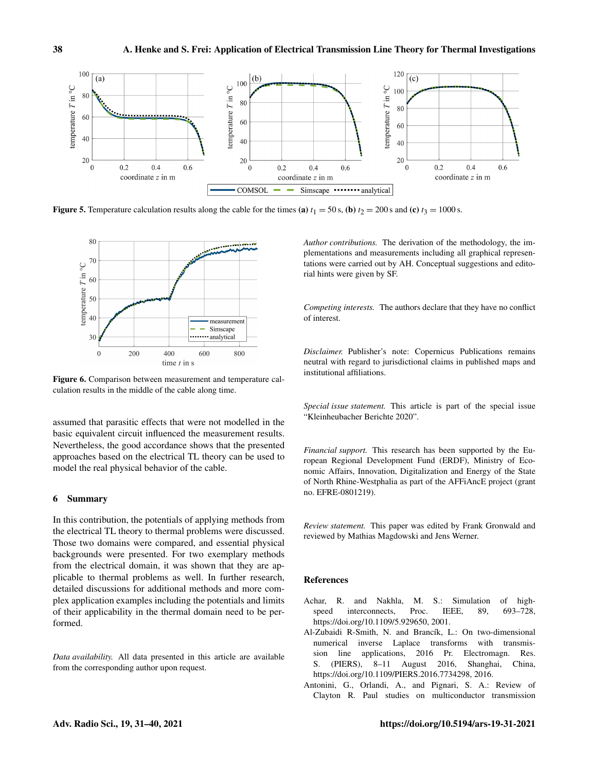

Figure 5. Temperature calculation results along the cable for the times (a)  $t_1 = 50$  s, (b)  $t_2 = 200$  s and (c)  $t_3 = 1000$  s.



Figure 6. Comparison between measurement and temperature calculation results in the middle of the cable along time.

assumed that parasitic effects that were not modelled in the basic equivalent circuit influenced the measurement results. Nevertheless, the good accordance shows that the presented approaches based on the electrical TL theory can be used to model the real physical behavior of the cable.

### 6 Summary

In this contribution, the potentials of applying methods from the electrical TL theory to thermal problems were discussed. Those two domains were compared, and essential physical backgrounds were presented. For two exemplary methods from the electrical domain, it was shown that they are applicable to thermal problems as well. In further research, detailed discussions for additional methods and more complex application examples including the potentials and limits of their applicability in the thermal domain need to be performed.

*Data availability.* All data presented in this article are available from the corresponding author upon request.

*Author contributions.* The derivation of the methodology, the implementations and measurements including all graphical representations were carried out by AH. Conceptual suggestions and editorial hints were given by SF.

*Competing interests.* The authors declare that they have no conflict of interest.

*Disclaimer.* Publisher's note: Copernicus Publications remains neutral with regard to jurisdictional claims in published maps and institutional affiliations.

*Special issue statement.* This article is part of the special issue "Kleinheubacher Berichte 2020".

*Financial support.* This research has been supported by the European Regional Development Fund (ERDF), Ministry of Economic Affairs, Innovation, Digitalization and Energy of the State of North Rhine-Westphalia as part of the AFFiAncE project (grant no. EFRE-0801219).

*Review statement.* This paper was edited by Frank Gronwald and reviewed by Mathias Magdowski and Jens Werner.

#### References

- Achar, R. and Nakhla, M. S.: Simulation of highspeed interconnects, Proc. IEEE, 89, 693–728, https://doi.org[/10.1109/5.929650,](https://doi.org/10.1109/5.929650) 2001.
- Al-Zubaidi R-Smith, N. and Brancík, L.: On two-dimensional numerical inverse Laplace transforms with transmission line applications, 2016 Pr. Electromagn. Res. S. (PIERS), 8–11 August 2016, Shanghai, China, https://doi.org[/10.1109/PIERS.2016.7734298,](https://doi.org/10.1109/PIERS.2016.7734298) 2016.
- Antonini, G., Orlandi, A., and Pignari, S. A.: Review of Clayton R. Paul studies on multiconductor transmission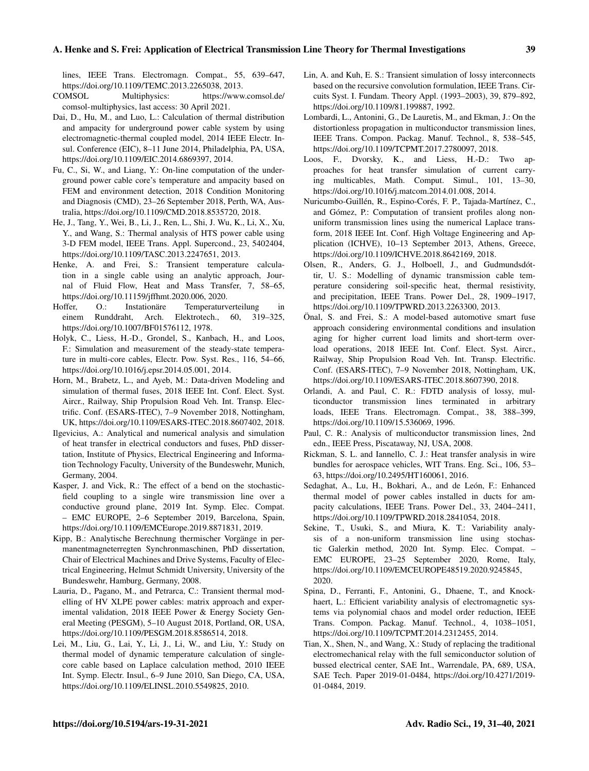### A. Henke and S. Frei: Application of Electrical Transmission Line Theory for Thermal Investigations 39

lines, IEEE Trans. Electromagn. Compat., 55, 639–647, https://doi.org[/10.1109/TEMC.2013.2265038,](https://doi.org/10.1109/TEMC.2013.2265038) 2013.<br>COMSOL Multiphysics: https://www.

- Multiphysics: [https://www.comsol.de/](https://www.comsol.de/comsol-multiphysics) [comsol-multiphysics,](https://www.comsol.de/comsol-multiphysics) last access: 30 April 2021.
- Dai, D., Hu, M., and Luo, L.: Calculation of thermal distribution and ampacity for underground power cable system by using electromagnetic-thermal coupled model, 2014 IEEE Electr. Insul. Conference (EIC), 8–11 June 2014, Philadelphia, PA, USA, https://doi.org[/10.1109/EIC.2014.6869397,](https://doi.org/10.1109/EIC.2014.6869397) 2014.
- Fu, C., Si, W., and Liang, Y.: On-line computation of the underground power cable core's temperature and ampacity based on FEM and environment detection, 2018 Condition Monitoring and Diagnosis (CMD), 23–26 September 2018, Perth, WA, Australia, https://doi.org[/10.1109/CMD.2018.8535720,](https://doi.org/10.1109/CMD.2018.8535720) 2018.
- He, J., Tang, Y., Wei, B., Li, J., Ren, L., Shi, J. Wu, K., Li, X., Xu, Y., and Wang, S.: Thermal analysis of HTS power cable using 3-D FEM model, IEEE Trans. Appl. Supercond., 23, 5402404, https://doi.org[/10.1109/TASC.2013.2247651,](https://doi.org/10.1109/TASC.2013.2247651) 2013.
- Henke, A. and Frei, S.: Transient temperature calculation in a single cable using an analytic approach, Journal of Fluid Flow, Heat and Mass Transfer, 7, 58–65, https://doi.org[/10.11159/jffhmt.2020.006,](https://doi.org/10.11159/jffhmt.2020.006) 2020.
- Hoffer, O.: Instationäre Temperaturverteilung in einem Runddraht, Arch. Elektrotech., 60, 319–325, https://doi.org[/10.1007/BF01576112,](https://doi.org/10.1007/BF01576112) 1978.
- Holyk, C., Liess, H.-D., Grondel, S., Kanbach, H., and Loos, F.: Simulation and measurement of the steady-state temperature in multi-core cables, Electr. Pow. Syst. Res., 116, 54–66, https://doi.org[/10.1016/j.epsr.2014.05.001,](https://doi.org/10.1016/j.epsr.2014.05.001) 2014.
- Horn, M., Brabetz, L., and Ayeb, M.: Data-driven Modeling and simulation of thermal fuses, 2018 IEEE Int. Conf. Elect. Syst. Aircr., Railway, Ship Propulsion Road Veh. Int. Transp. Electrific. Conf. (ESARS-ITEC), 7–9 November 2018, Nottingham, UK, https://doi.org[/10.1109/ESARS-ITEC.2018.8607402,](https://doi.org/10.1109/ESARS-ITEC.2018.8607402) 2018.
- Ilgevicius, A.: Analytical and numerical analysis and simulation of heat transfer in electrical conductors and fuses, PhD dissertation, Institute of Physics, Electrical Engineering and Information Technology Faculty, University of the Bundeswehr, Munich, Germany, 2004.
- Kasper, J. and Vick, R.: The effect of a bend on the stochasticfield coupling to a single wire transmission line over a conductive ground plane, 2019 Int. Symp. Elec. Compat. – EMC EUROPE, 2–6 September 2019, Barcelona, Spain, https://doi.org[/10.1109/EMCEurope.2019.8871831,](https://doi.org/10.1109/EMCEurope.2019.8871831) 2019.
- Kipp, B.: Analytische Berechnung thermischer Vorgänge in permanentmagneterregten Synchronmaschinen, PhD dissertation, Chair of Electrical Machines and Drive Systems, Faculty of Electrical Engineering, Helmut Schmidt University, University of the Bundeswehr, Hamburg, Germany, 2008.
- Lauria, D., Pagano, M., and Petrarca, C.: Transient thermal modelling of HV XLPE power cables: matrix approach and experimental validation, 2018 IEEE Power & Energy Society General Meeting (PESGM), 5–10 August 2018, Portland, OR, USA, https://doi.org[/10.1109/PESGM.2018.8586514,](https://doi.org/10.1109/PESGM.2018.8586514) 2018.
- Lei, M., Liu, G., Lai, Y., Li, J., Li, W., and Liu, Y.: Study on thermal model of dynamic temperature calculation of singlecore cable based on Laplace calculation method, 2010 IEEE Int. Symp. Electr. Insul., 6–9 June 2010, San Diego, CA, USA, https://doi.org[/10.1109/ELINSL.2010.5549825,](https://doi.org/10.1109/ELINSL.2010.5549825) 2010.
- Lin, A. and Kuh, E. S.: Transient simulation of lossy interconnects based on the recursive convolution formulation, IEEE Trans. Circuits Syst. I. Fundam. Theory Appl. (1993–2003), 39, 879–892, https://doi.org[/10.1109/81.199887,](https://doi.org/10.1109/81.199887) 1992.
- Lombardi, L., Antonini, G., De Lauretis, M., and Ekman, J.: On the distortionless propagation in multiconductor transmission lines, IEEE Trans. Compon. Packag. Manuf. Technol., 8, 538–545, https://doi.org[/10.1109/TCPMT.2017.2780097,](https://doi.org/10.1109/TCPMT.2017.2780097) 2018.
- Loos, F., Dvorsky, K., and Liess, H.-D.: Two approaches for heat transfer simulation of current carrying multicables, Math. Comput. Simul., 101, 13–30, https://doi.org[/10.1016/j.matcom.2014.01.008,](https://doi.org/10.1016/j.matcom.2014.01.008) 2014.
- Nuricumbo-Guillén, R., Espino-Corés, F. P., Tajada-Martínez, C., and Gómez, P.: Computation of transient profiles along nonuniform transmission lines using the numerical Laplace transform, 2018 IEEE Int. Conf. High Voltage Engineering and Application (ICHVE), 10–13 September 2013, Athens, Greece, https://doi.org[/10.1109/ICHVE.2018.8642169,](https://doi.org/10.1109/ICHVE.2018.8642169) 2018.
- Olsen, R., Anders, G. J., Holboell, J., and Gudmundsdóttir, U. S.: Modelling of dynamic transmission cable temperature considering soil-specific heat, thermal resistivity, and precipitation, IEEE Trans. Power Del., 28, 1909–1917, https://doi.org[/10.1109/TPWRD.2013.2263300,](https://doi.org/10.1109/TPWRD.2013.2263300) 2013.
- Önal, S. and Frei, S.: A model-based automotive smart fuse approach considering environmental conditions and insulation aging for higher current load limits and short-term overload operations, 2018 IEEE Int. Conf. Elect. Syst. Aircr., Railway, Ship Propulsion Road Veh. Int. Transp. Electrific. Conf. (ESARS-ITEC), 7–9 November 2018, Nottingham, UK, https://doi.org[/10.1109/ESARS-ITEC.2018.8607390,](https://doi.org/10.1109/ESARS-ITEC.2018.8607390) 2018.
- Orlandi, A. and Paul, C. R.: FDTD analysis of lossy, multiconductor transmission lines terminated in arbitrary loads, IEEE Trans. Electromagn. Compat., 38, 388–399, https://doi.org[/10.1109/15.536069,](https://doi.org/10.1109/15.536069) 1996.
- Paul, C. R.: Analysis of multiconductor transmission lines, 2nd edn., IEEE Press, Piscataway, NJ, USA, 2008.
- Rickman, S. L. and Iannello, C. J.: Heat transfer analysis in wire bundles for aerospace vehicles, WIT Trans. Eng. Sci., 106, 53– 63, https://doi.org[/10.2495/HT160061,](https://doi.org/10.2495/HT160061) 2016.
- Sedaghat, A., Lu, H., Bokhari, A., and de León, F.: Enhanced thermal model of power cables installed in ducts for ampacity calculations, IEEE Trans. Power Del., 33, 2404–2411, https://doi.org[/10.1109/TPWRD.2018.2841054,](https://doi.org/10.1109/TPWRD.2018.2841054) 2018.
- Sekine, T., Usuki, S., and Miura, K. T.: Variability analysis of a non-uniform transmission line using stochastic Galerkin method, 2020 Int. Symp. Elec. Compat. – EMC EUROPE, 23–25 September 2020, Rome, Italy, https://doi.org[/10.1109/EMCEUROPE48519.2020.9245845,](https://doi.org/10.1109/EMCEUROPE48519.2020.9245845) 2020.
- Spina, D., Ferranti, F., Antonini, G., Dhaene, T., and Knockhaert, L.: Efficient variability analysis of electromagnetic systems via polynomial chaos and model order reduction, IEEE Trans. Compon. Packag. Manuf. Technol., 4, 1038–1051, https://doi.org[/10.1109/TCPMT.2014.2312455,](https://doi.org/10.1109/TCPMT.2014.2312455) 2014.
- Tian, X., Shen, N., and Wang, X.: Study of replacing the traditional electromechanical relay with the full semiconductor solution of bussed electrical center, SAE Int., Warrendale, PA, 689, USA, SAE Tech. Paper 2019-01-0484, https://doi.org[/10.4271/2019-](https://doi.org/10.4271/2019-01-0484) [01-0484,](https://doi.org/10.4271/2019-01-0484) 2019.